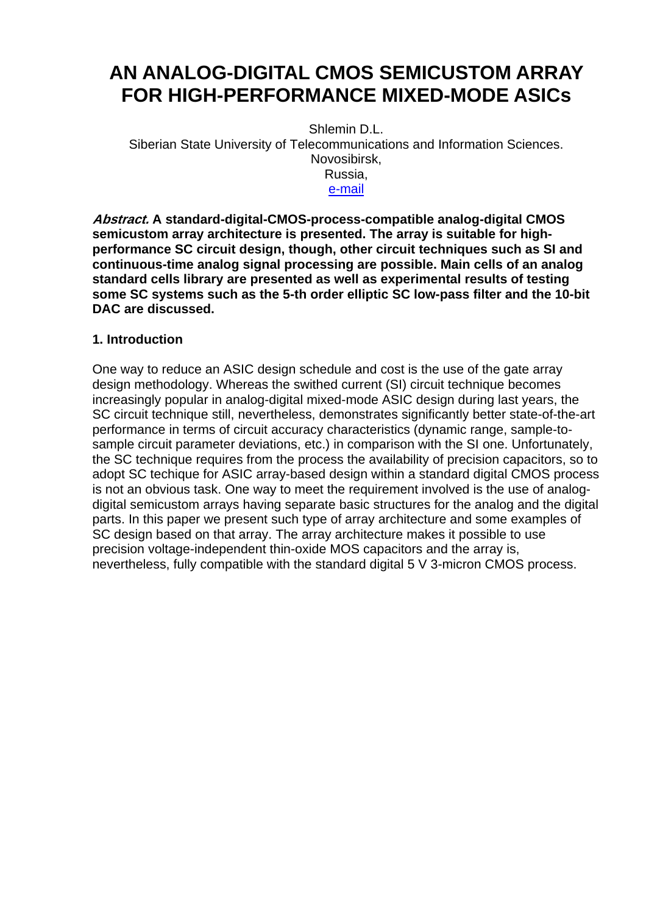# **AN ANALOG-DIGITAL CMOS SEMICUSTOM ARRAY FOR HIGH-PERFORMANCE MIXED-MODE ASICs**

Shlemin D.L. Siberian State University of Telecommunications and Information Sciences. Novosibirsk,

Russia,

[e-mail](mailto:dima@neic.nsk.su)

**Abstract. A standard-digital-CMOS-process-compatible analog-digital CMOS semicustom array architecture is presented. The array is suitable for highperformance SC circuit design, though, other circuit techniques such as SI and continuous-time analog signal processing are possible. Main cells of an analog standard cells library are presented as well as experimental results of testing some SC systems such as the 5-th order elliptic SC low-pass filter and the 10-bit DAC are discussed.**

### **1. Introduction**

One way to reduce an ASIC design schedule and cost is the use of the gate array design methodology. Whereas the swithed current (SI) circuit technique becomes increasingly popular in analog-digital mixed-mode ASIC design during last years, the SC circuit technique still, nevertheless, demonstrates significantly better state-of-the-art performance in terms of circuit accuracy characteristics (dynamic range, sample-tosample circuit parameter deviations, etc.) in comparison with the SI one. Unfortunately, the SC technique requires from the process the availability of precision capacitors, so to adopt SC techique for ASIC array-based design within a standard digital CMOS process is not an obvious task. One way to meet the requirement involved is the use of analogdigital semicustom arrays having separate basic structures for the analog and the digital parts. In this paper we present such type of array architecture and some examples of SC design based on that array. The array architecture makes it possible to use precision voltage-independent thin-oxide MOS capacitors and the array is, nevertheless, fully compatible with the standard digital 5 V 3-micron CMOS process.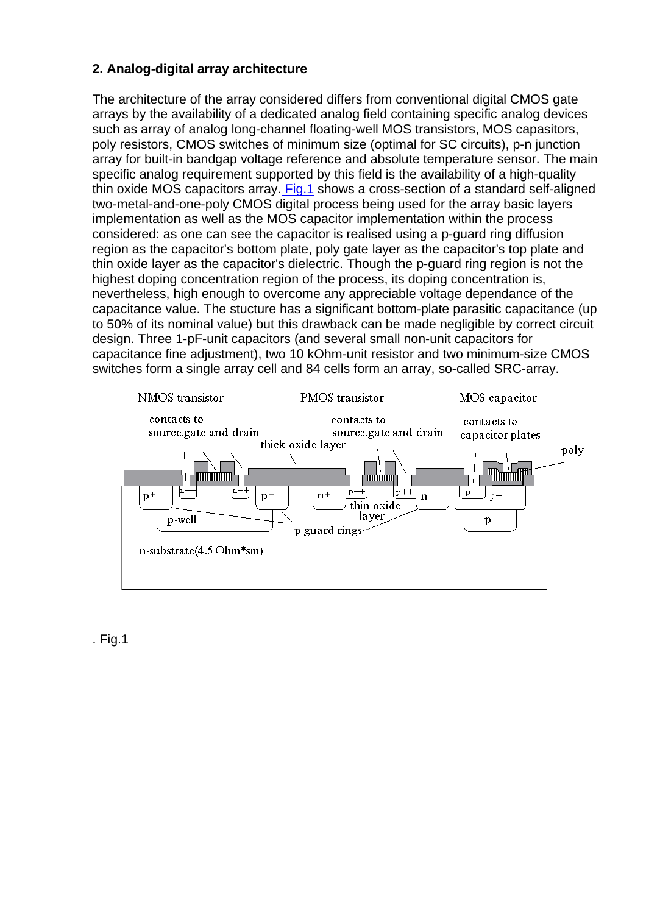# <span id="page-1-0"></span>**2. Analog-digital array architecture**

The architecture of the array considered differs from conventional digital CMOS gate arrays by the availability of a dedicated analog field containing specific analog devices such as array of analog long-channel floating-well MOS transistors, MOS capasitors, poly resistors, CMOS switches of minimum size (optimal for SC circuits), p-n junction array for built-in bandgap voltage reference and absolute temperature sensor. The main specific analog requirement supported by this field is the availability of a high-quality thin oxide MOS capacitors array[. Fig.1](#page-1-0) shows a cross-section of a standard self-aligned two-metal-and-one-poly CMOS digital process being used for the array basic layers implementation as well as the MOS capacitor implementation within the process considered: as one can see the capacitor is realised using a p-guard ring diffusion region as the capacitor's bottom plate, poly gate layer as the capacitor's top plate and thin oxide layer as the capacitor's dielectric. Though the p-guard ring region is not the highest doping concentration region of the process, its doping concentration is, nevertheless, high enough to overcome any appreciable voltage dependance of the capacitance value. The stucture has a significant bottom-plate parasitic capacitance (up to 50% of its nominal value) but this drawback can be made negligible by correct circuit design. Three 1-pF-unit capacitors (and several small non-unit capacitors for capacitance fine adjustment), two 10 kOhm-unit resistor and two minimum-size CMOS switches form a single array cell and 84 cells form an array, so-called SRC-array.



. Fig.1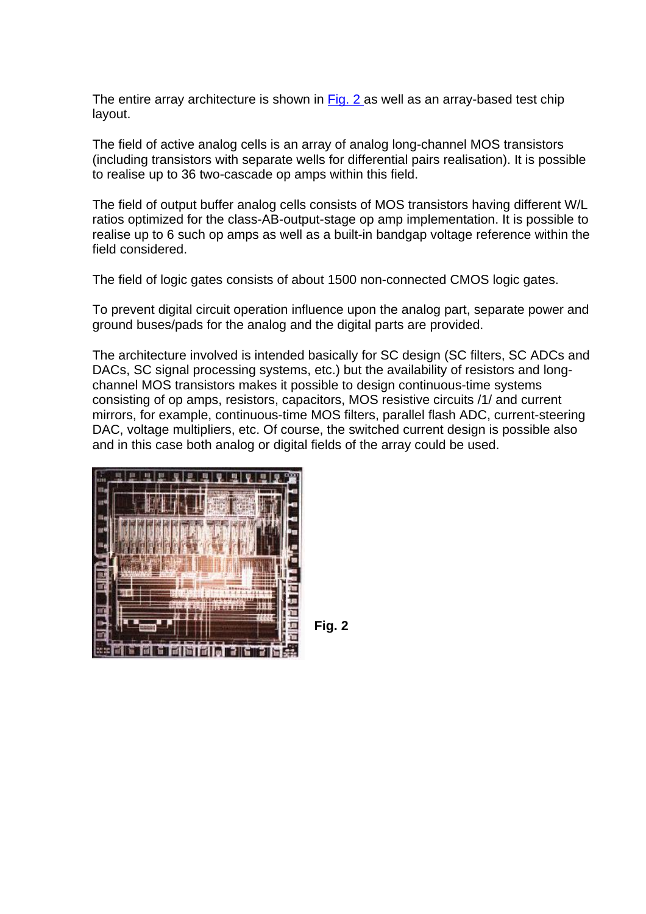<span id="page-2-0"></span>The entire array architecture is shown in [Fig. 2](#page-2-0) as well as an array-based test chip layout.

The field of active analog cells is an array of analog long-channel MOS transistors (including transistors with separate wells for differential pairs realisation). It is possible to realise up to 36 two-cascade op amps within this field.

The field of output buffer analog cells consists of MOS transistors having different W/L ratios optimized for the class-AB-output-stage op amp implementation. It is possible to realise up to 6 such op amps as well as a built-in bandgap voltage reference within the field considered.

The field of logic gates consists of about 1500 non-connected CMOS logic gates.

To prevent digital circuit operation influence upon the analog part, separate power and ground buses/pads for the analog and the digital parts are provided.

The architecture involved is intended basically for SC design (SC filters, SC ADCs and DACs, SC signal processing systems, etc.) but the availability of resistors and longchannel MOS transistors makes it possible to design continuous-time systems consisting of op amps, resistors, capacitors, MOS resistive circuits /1/ and current mirrors, for example, continuous-time MOS filters, parallel flash ADC, current-steering DAC, voltage multipliers, etc. Of course, the switched current design is possible also and in this case both analog or digital fields of the array could be used.



**Fig. 2**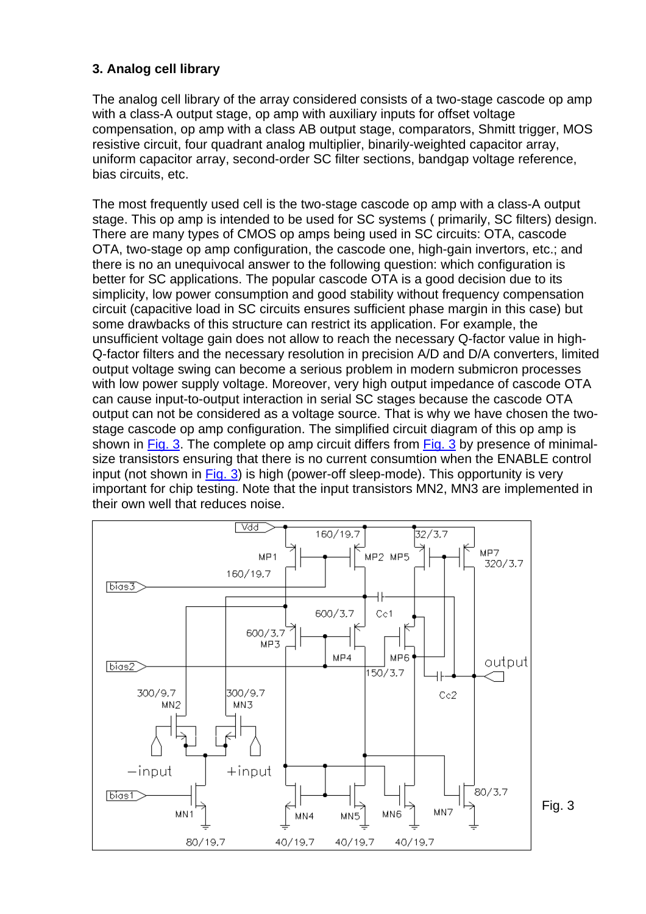# <span id="page-3-0"></span>**3. Analog cell library**

The analog cell library of the array considered consists of a two-stage cascode op amp with a class-A output stage, op amp with auxiliary inputs for offset voltage compensation, op amp with a class AB output stage, comparators, Shmitt trigger, MOS resistive circuit, four quadrant analog multiplier, binarily-weighted capacitor array, uniform capacitor array, second-order SC filter sections, bandgap voltage reference, bias circuits, etc.

The most frequently used cell is the two-stage cascode op amp with a class-A output stage. This op amp is intended to be used for SC systems ( primarily, SC filters) design. There are many types of CMOS op amps being used in SC circuits: OTA, cascode OTA, two-stage op amp configuration, the cascode one, high-gain invertors, etc.; and there is no an unequivocal answer to the following question: which configuration is better for SC applications. The popular cascode OTA is a good decision due to its simplicity, low power consumption and good stability without frequency compensation circuit (capacitive load in SC circuits ensures sufficient phase margin in this case) but some drawbacks of this structure can restrict its application. For example, the unsufficient voltage gain does not allow to reach the necessary Q-factor value in high-Q-factor filters and the necessary resolution in precision A/D and D/A converters, limited output voltage swing can become a serious problem in modern submicron processes with low power supply voltage. Moreover, very high output impedance of cascode OTA can cause input-to-output interaction in serial SC stages because the cascode OTA output can not be considered as a voltage source. That is why we have chosen the twostage cascode op amp configuration. The simplified circuit diagram of this op amp is shown in [Fig. 3.](#page-3-0) The complete op amp circuit differs from [Fig. 3](#page-3-0) by presence of minimalsize transistors ensuring that there is no current consumtion when the ENABLE control input (not shown in [Fig. 3](#page-3-0)) is high (power-off sleep-mode). This opportunity is very important for chip testing. Note that the input transistors MN2, MN3 are implemented in their own well that reduces noise.

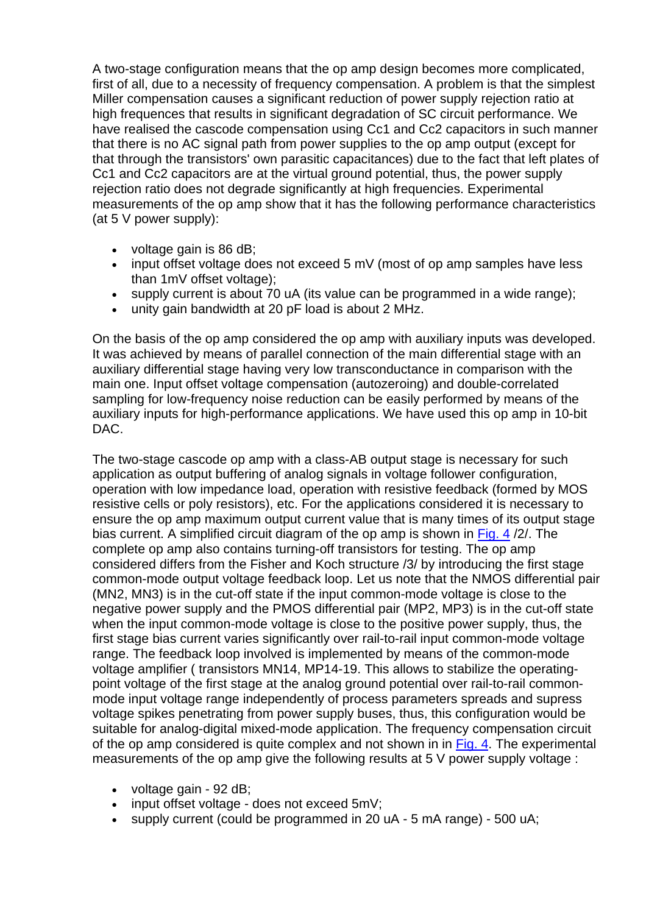A two-stage configuration means that the op amp design becomes more complicated, first of all, due to a necessity of frequency compensation. A problem is that the simplest Miller compensation causes a significant reduction of power supply rejection ratio at high frequences that results in significant degradation of SC circuit performance. We have realised the cascode compensation using Cc1 and Cc2 capacitors in such manner that there is no AC signal path from power supplies to the op amp output (except for that through the transistors' own parasitic capacitances) due to the fact that left plates of Cc1 and Cc2 capacitors are at the virtual ground potential, thus, the power supply rejection ratio does not degrade significantly at high frequencies. Experimental measurements of the op amp show that it has the following performance characteristics (at 5 V power supply):

- voltage gain is 86 dB;
- input offset voltage does not exceed 5 mV (most of op amp samples have less than 1mV offset voltage);
- supply current is about 70 uA (its value can be programmed in a wide range);
- unity gain bandwidth at 20 pF load is about 2 MHz.

On the basis of the op amp considered the op amp with auxiliary inputs was developed. It was achieved by means of parallel connection of the main differential stage with an auxiliary differential stage having very low transconductance in comparison with the main one. Input offset voltage compensation (autozeroing) and double-correlated sampling for low-frequency noise reduction can be easily performed by means of the auxiliary inputs for high-performance applications. We have used this op amp in 10-bit DAC.

The two-stage cascode op amp with a class-AB output stage is necessary for such application as output buffering of analog signals in voltage follower configuration, operation with low impedance load, operation with resistive feedback (formed by MOS resistive cells or poly resistors), etc. For the applications considered it is necessary to ensure the op amp maximum output current value that is many times of its output stage bias current. A simplified circuit diagram of the op amp is shown in Fig. 4/2. The complete op amp also contains turning-off transistors for testing. The op amp considered differs from the Fisher and Koch structure /3/ by introducing the first stage common-mode output voltage feedback loop. Let us note that the NMOS differential pair (MN2, MN3) is in the cut-off state if the input common-mode voltage is close to the negative power supply and the PMOS differential pair (MP2, MP3) is in the cut-off state when the input common-mode voltage is close to the positive power supply, thus, the first stage bias current varies significantly over rail-to-rail input common-mode voltage range. The feedback loop involved is implemented by means of the common-mode voltage amplifier ( transistors MN14, MP14-19. This allows to stabilize the operatingpoint voltage of the first stage at the analog ground potential over rail-to-rail commonmode input voltage range independently of process parameters spreads and supress voltage spikes penetrating from power supply buses, thus, this configuration would be suitable for analog-digital mixed-mode application. The frequency compensation circuit of the op amp considered is quite complex and not shown in in [Fig. 4.](#page-5-0) The experimental measurements of the op amp give the following results at 5 V power supply voltage :

- voltage gain 92 dB;
- input offset voltage does not exceed 5mV:
- supply current (could be programmed in 20 uA 5 mA range) 500 uA;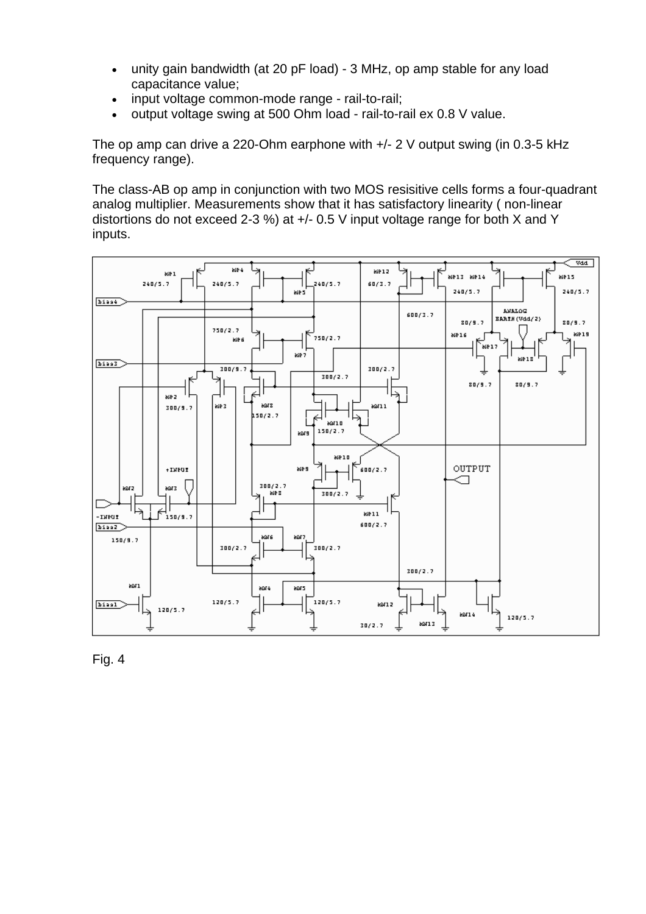- <span id="page-5-0"></span>• unity gain bandwidth (at 20 pF load) - 3 MHz, op amp stable for any load capacitance value;
- input voltage common-mode range rail-to-rail;
- output voltage swing at 500 Ohm load rail-to-rail ex 0.8 V value.

The op amp can drive a 220-Ohm earphone with +/- 2 V output swing (in 0.3-5 kHz frequency range).

The class-AB op amp in conjunction with two MOS resisitive cells forms a four-quadrant analog multiplier. Measurements show that it has satisfactory linearity ( non-linear distortions do not exceed 2-3 %) at +/- 0.5 V input voltage range for both X and Y inputs.



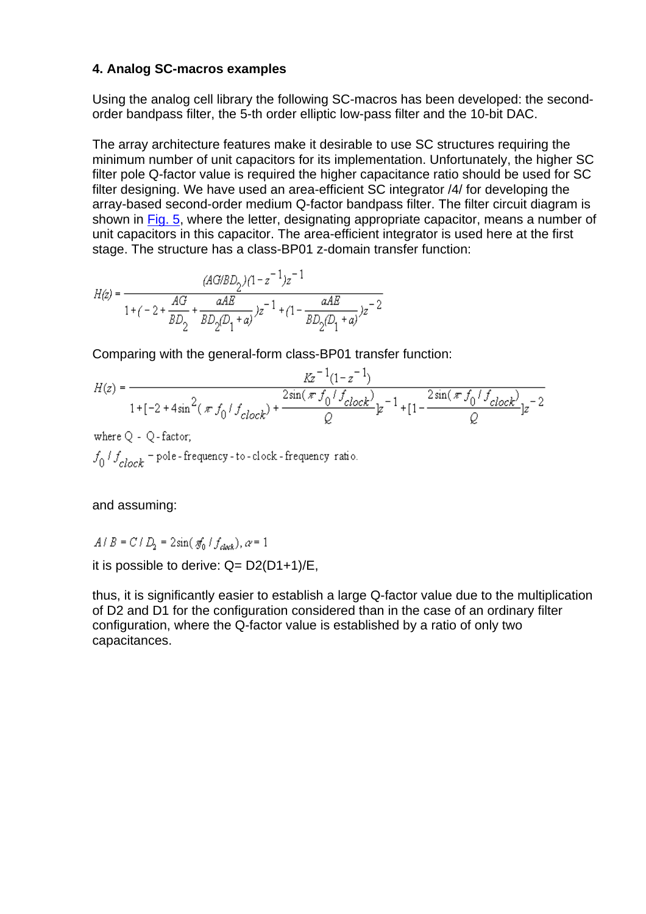#### **4. Analog SC-macros examples**

Using the analog cell library the following SC-macros has been developed: the secondorder bandpass filter, the 5-th order elliptic low-pass filter and the 10-bit DAC.

The array architecture features make it desirable to use SC structures requiring the minimum number of unit capacitors for its implementation. Unfortunately, the higher SC filter pole Q-factor value is required the higher capacitance ratio should be used for SC filter designing. We have used an area-efficient SC integrator /4/ for developing the array-based second-order medium Q-factor bandpass filter. The filter circuit diagram is shown in [Fig. 5,](#page-7-0) where the letter, designating appropriate capacitor, means a number of unit capacitors in this capacitor. The area-efficient integrator is used here at the first stage. The structure has a class-BP01 z-domain transfer function:

$$
H(z)=\dfrac{(AG/BD_2)(1-z^{-1})z^{-1}}{1+(-2+\dfrac{AG}{BD_2}+\dfrac{aAE}{BD_2(D_1+a)})z^{-1}+(1-\dfrac{aAE}{BD_2(D_1+a)})z^{-2}}
$$

Comparing with the general-form class-BP01 transfer function:

$$
H(z) = \frac{Kz^{-1}(1-z^{-1})}{1+[-2+4\sin^2(\pi f_0/f_{clock}) + \frac{2\sin(\pi f_0/f_{clock})}{Q}z^{-1} + [1-\frac{2\sin(\pi f_0/f_{clock})}{Q}z^{-2}]z^{-2}}
$$

where  $Q - Q$  - factor;  $f_0 / f_{clock}$  = pole-frequency-to-clock-frequency ratio.

and assuming:

$$
A/B = C/D_2 = 2\sin(\pi_0/f_{clock}), \alpha = 1
$$

it is possible to derive:  $Q = D2(D1+1)/E$ ,

thus, it is significantly easier to establish a large Q-factor value due to the multiplication of D2 and D1 for the configuration considered than in the case of an ordinary filter configuration, where the Q-factor value is established by a ratio of only two capacitances.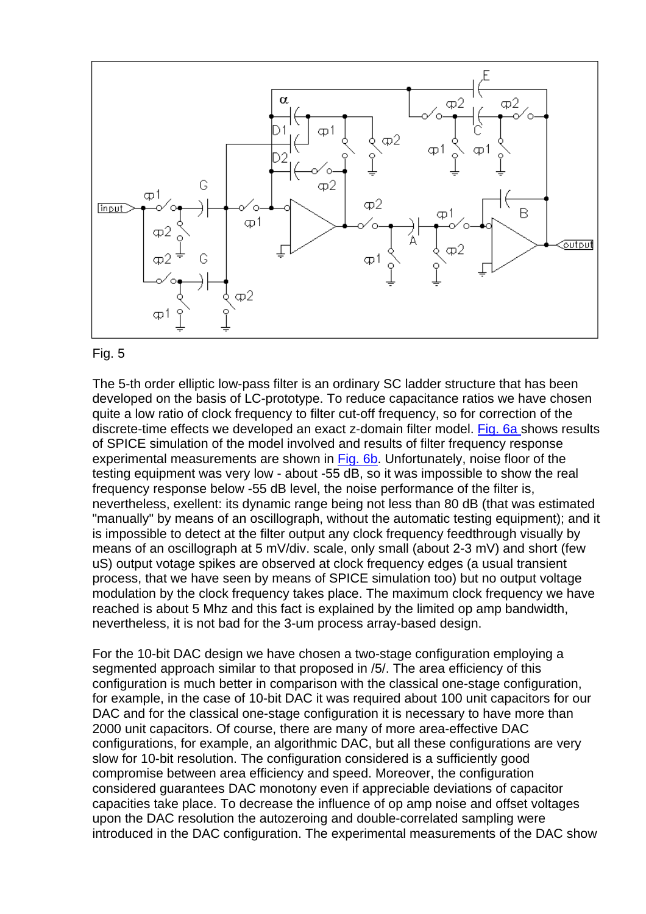<span id="page-7-0"></span>

#### Fig. 5

The 5-th order elliptic low-pass filter is an ordinary SC ladder structure that has been developed on the basis of LC-prototype. To reduce capacitance ratios we have chosen quite a low ratio of clock frequency to filter cut-off frequency, so for correction of the discrete-time effects we developed an exact z-domain filter model. [Fig. 6a s](#page-8-0)hows results of SPICE simulation of the model involved and results of filter frequency response experimental measurements are shown in [Fig. 6b.](#page-8-0) Unfortunately, noise floor of the testing equipment was very low - about -55 dB, so it was impossible to show the real frequency response below -55 dB level, the noise performance of the filter is, nevertheless, exellent: its dynamic range being not less than 80 dB (that was estimated "manually" by means of an oscillograph, without the automatic testing equipment); and it is impossible to detect at the filter output any clock frequency feedthrough visually by means of an oscillograph at 5 mV/div. scale, only small (about 2-3 mV) and short (few uS) output votage spikes are observed at clock frequency edges (a usual transient process, that we have seen by means of SPICE simulation too) but no output voltage modulation by the clock frequency takes place. The maximum clock frequency we have reached is about 5 Mhz and this fact is explained by the limited op amp bandwidth, nevertheless, it is not bad for the 3-um process array-based design.

For the 10-bit DAC design we have chosen a two-stage configuration employing a segmented approach similar to that proposed in /5/. The area efficiency of this configuration is much better in comparison with the classical one-stage configuration, for example, in the case of 10-bit DAC it was required about 100 unit capacitors for our DAC and for the classical one-stage configuration it is necessary to have more than 2000 unit capacitors. Of course, there are many of more area-effective DAC configurations, for example, an algorithmic DAC, but all these configurations are very slow for 10-bit resolution. The configuration considered is a sufficiently good compromise between area efficiency and speed. Moreover, the configuration considered guarantees DAC monotony even if appreciable deviations of capacitor capacities take place. To decrease the influence of op amp noise and offset voltages upon the DAC resolution the autozeroing and double-correlated sampling were introduced in the DAC configuration. The experimental measurements of the DAC show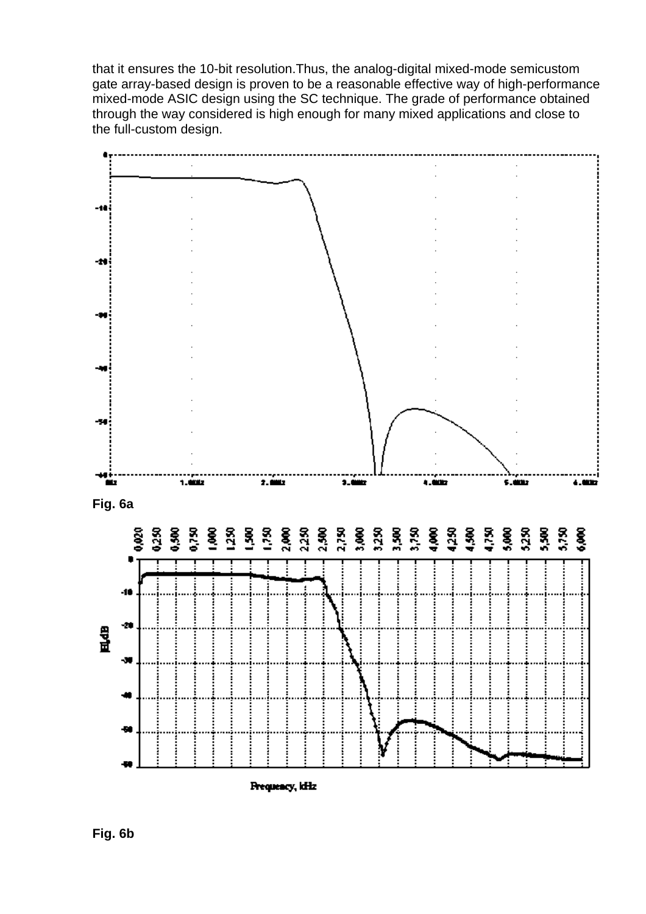<span id="page-8-0"></span>that it ensures the 10-bit resolution.Thus, the analog-digital mixed-mode semicustom gate array-based design is proven to be a reasonable effective way of high-performance mixed-mode ASIC design using the SC technique. The grade of performance obtained through the way considered is high enough for many mixed applications and close to the full-custom design.



Prequency, Id-Iz